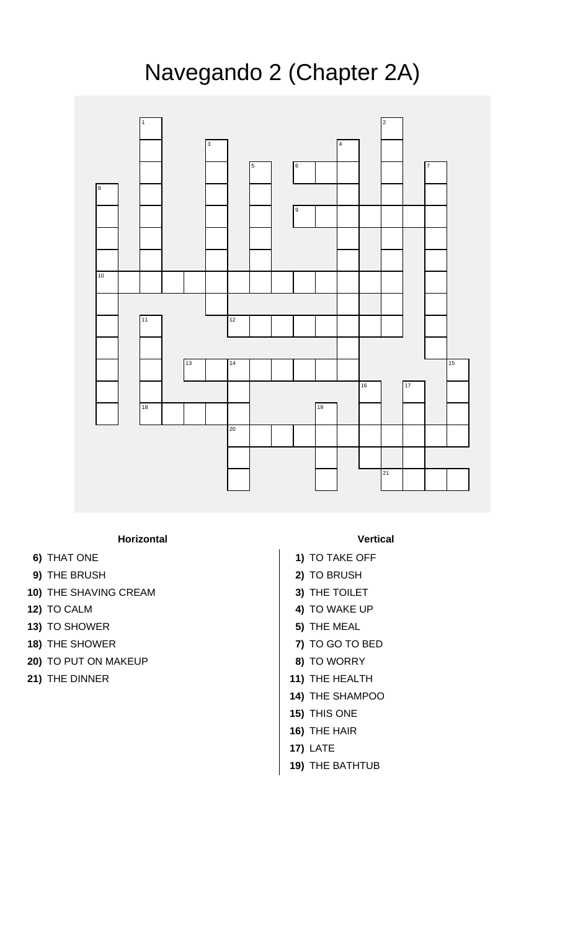## Navegando 2 (Chapter 2A)



## **Horizontal Vertical**

- 
- **9)** THE BRUSH **2)** TO BRUSH
- **10)** THE SHAVING CREAM **3)** THE TOILET
- 
- **13)** TO SHOWER **5)** THE MEAL
- 
- **20)** TO PUT ON MAKEUP **8)** TO WORRY
- 

- **6)** THAT ONE **1)** TO TAKE OFF
	-
	-
- **12)** TO CALM **4)** TO WAKE UP
	-
- **18)** THE SHOWER **7)** TO GO TO BED
	-
- **21)** THE DINNER **11 11** 
	- **14)** THE SHAMPOO
	- **15)** THIS ONE
	- **16)** THE HAIR
	- **17)** LATE
	- **19)** THE BATHTUB